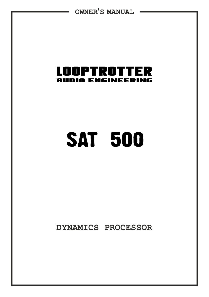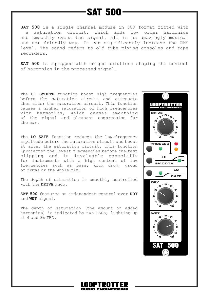## **SAT 500**

**SAT 500** is a single channel module in 500 format fitted with a saturation circuit, which adds low order harmonics and smoothly evens the signal, all in an amazingly musical and ear friendly way. It can significantly increase the RMS level. The sound refers to old tube mixing consoles and tape recorders.

**SAT 500** is equipped with unique solutions shaping the content of harmonics in the processed signal.

The **HI SMOOTH** function boost high frequencies before the saturation circuit and attenuate them after the saturation circuit. This function causes a higher saturation of high frequencies with harmonics, which causes smoothing of the signal and pleasant compression for the ear.

The **LO SAFE** function reduces the low-frequency amplitude before the saturation circuit and boost it after the saturation circuit. This function "protects" the lowest frequencies before the fast clipping and is invaluable especially for instruments with a high content of low frequencies such as bass, kick drum, group of drums or the whole mix.

The depth of saturation is smoothly controlled with the **DRIVE** knob.

**SAT 500** features an independent control over **DRY** and **WET** signal.

The depth of saturation (the amount of added harmonics) is indicated by two LEDs, lighting up at 4 and 8% THD.



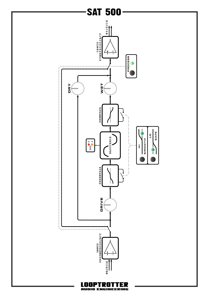